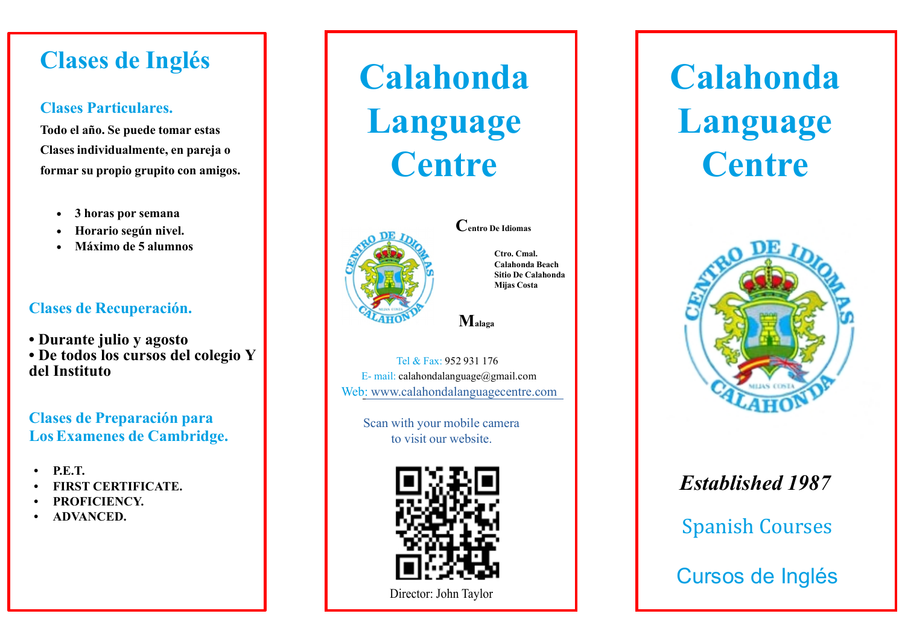## **Clases de Inglés**

#### **Clases Particulares.**

**Todo el año. Se puede tomar estas Clases individualmente, en pareja o formar su propio grupito con amigos.**

- **3 horas por semana**
- **Horario según nivel.**
- **Máximo de 5 alumnos**

#### **Clases de Recuperación.**

**• Durante julio y agosto • De todos los cursos del colegio Y del Instituto**

#### **Clases de Preparación para LosExamenes de Cambridge.**

- **• P.E.T.**
- **• FIRST CERTIFICATE.**
- **• PROFICIENCY.**
- **• ADVANCED.**

# **Calahonda Language Centre**



**Centro De Idiomas**

**Ctro. Cmal. Calahonda Beach Sitio De Calahonda Mijas Costa**

**Malaga**

Tel & Fax: 952 931 176 E- mail: calahondalanguage@gmail.com Web: www.calahondalanguagecentre.com

Scan with your mobile camera to visit our website.



Director: John Taylor

## **Calahonda Language Centre**



## *Established 1987*

Spanish Courses

Cursos de Inglés